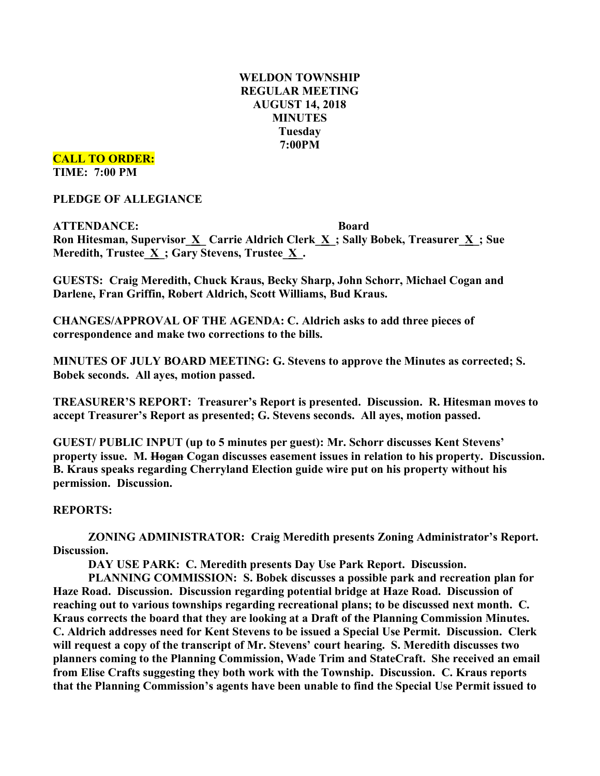#### **CALL TO ORDER: TIME: 7:00 PM**

# **PLEDGE OF ALLEGIANCE**

**ATTENDANCE: Board Ron Hitesman, Supervisor\_X\_ Carrie Aldrich Clerk\_X\_; Sally Bobek, Treasurer\_X\_; Sue Meredith, Trustee**  $\underline{X}$ **; Gary Stevens, Trustee**  $\underline{X}$ **.** 

**GUESTS: Craig Meredith, Chuck Kraus, Becky Sharp, John Schorr, Michael Cogan and Darlene, Fran Griffin, Robert Aldrich, Scott Williams, Bud Kraus.**

**CHANGES/APPROVAL OF THE AGENDA: C. Aldrich asks to add three pieces of correspondence and make two corrections to the bills.**

**MINUTES OF JULY BOARD MEETING: G. Stevens to approve the Minutes as corrected; S. Bobek seconds. All ayes, motion passed.**

**TREASURER'S REPORT: Treasurer's Report is presented. Discussion. R. Hitesman moves to accept Treasurer's Report as presented; G. Stevens seconds. All ayes, motion passed.**

**GUEST/ PUBLIC INPUT (up to 5 minutes per guest): Mr. Schorr discusses Kent Stevens' property issue. M. Hogan Cogan discusses easement issues in relation to his property. Discussion. B. Kraus speaks regarding Cherryland Election guide wire put on his property without his permission. Discussion.**

## **REPORTS:**

**ZONING ADMINISTRATOR: Craig Meredith presents Zoning Administrator's Report. Discussion.**

**DAY USE PARK: C. Meredith presents Day Use Park Report. Discussion.**

**PLANNING COMMISSION: S. Bobek discusses a possible park and recreation plan for Haze Road. Discussion. Discussion regarding potential bridge at Haze Road. Discussion of reaching out to various townships regarding recreational plans; to be discussed next month. C. Kraus corrects the board that they are looking at a Draft of the Planning Commission Minutes. C. Aldrich addresses need for Kent Stevens to be issued a Special Use Permit. Discussion. Clerk will request a copy of the transcript of Mr. Stevens' court hearing. S. Meredith discusses two planners coming to the Planning Commission, Wade Trim and StateCraft. She received an email from Elise Crafts suggesting they both work with the Township. Discussion. C. Kraus reports that the Planning Commission's agents have been unable to find the Special Use Permit issued to**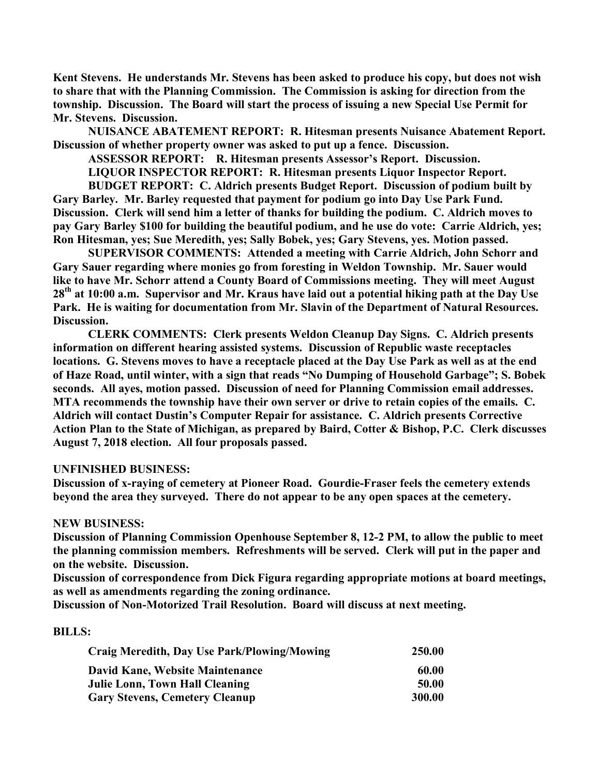**Kent Stevens. He understands Mr. Stevens has been asked to produce his copy, but does not wish to share that with the Planning Commission. The Commission is asking for direction from the township. Discussion. The Board will start the process of issuing a new Special Use Permit for Mr. Stevens. Discussion.**

**NUISANCE ABATEMENT REPORT: R. Hitesman presents Nuisance Abatement Report. Discussion of whether property owner was asked to put up a fence. Discussion.**

**ASSESSOR REPORT: R. Hitesman presents Assessor's Report. Discussion.**

**LIQUOR INSPECTOR REPORT: R. Hitesman presents Liquor Inspector Report. BUDGET REPORT: C. Aldrich presents Budget Report. Discussion of podium built by Gary Barley. Mr. Barley requested that payment for podium go into Day Use Park Fund. Discussion. Clerk will send him a letter of thanks for building the podium. C. Aldrich moves to pay Gary Barley \$100 for building the beautiful podium, and he use do vote: Carrie Aldrich, yes; Ron Hitesman, yes; Sue Meredith, yes; Sally Bobek, yes; Gary Stevens, yes. Motion passed.**

**SUPERVISOR COMMENTS: Attended a meeting with Carrie Aldrich, John Schorr and Gary Sauer regarding where monies go from foresting in Weldon Township. Mr. Sauer would like to have Mr. Schorr attend a County Board of Commissions meeting. They will meet August 28th at 10:00 a.m. Supervisor and Mr. Kraus have laid out a potential hiking path at the Day Use Park. He is waiting for documentation from Mr. Slavin of the Department of Natural Resources. Discussion.**

**CLERK COMMENTS: Clerk presents Weldon Cleanup Day Signs. C. Aldrich presents information on different hearing assisted systems. Discussion of Republic waste receptacles locations. G. Stevens moves to have a receptacle placed at the Day Use Park as well as at the end of Haze Road, until winter, with a sign that reads "No Dumping of Household Garbage"; S. Bobek seconds. All ayes, motion passed. Discussion of need for Planning Commission email addresses. MTA recommends the township have their own server or drive to retain copies of the emails. C. Aldrich will contact Dustin's Computer Repair for assistance. C. Aldrich presents Corrective Action Plan to the State of Michigan, as prepared by Baird, Cotter & Bishop, P.C. Clerk discusses August 7, 2018 election. All four proposals passed.**

### **UNFINISHED BUSINESS:**

**Discussion of x-raying of cemetery at Pioneer Road. Gourdie-Fraser feels the cemetery extends beyond the area they surveyed. There do not appear to be any open spaces at the cemetery.**

### **NEW BUSINESS:**

**Discussion of Planning Commission Openhouse September 8, 12-2 PM, to allow the public to meet the planning commission members. Refreshments will be served. Clerk will put in the paper and on the website. Discussion.**

**Discussion of correspondence from Dick Figura regarding appropriate motions at board meetings, as well as amendments regarding the zoning ordinance.**

**Discussion of Non-Motorized Trail Resolution. Board will discuss at next meeting.**

### **BILLS:**

| Craig Meredith, Day Use Park/Plowing/Mowing | 250.00 |
|---------------------------------------------|--------|
| David Kane, Website Maintenance             | 60.00  |
| Julie Lonn, Town Hall Cleaning              | 50.00  |
| <b>Gary Stevens, Cemetery Cleanup</b>       | 300.00 |